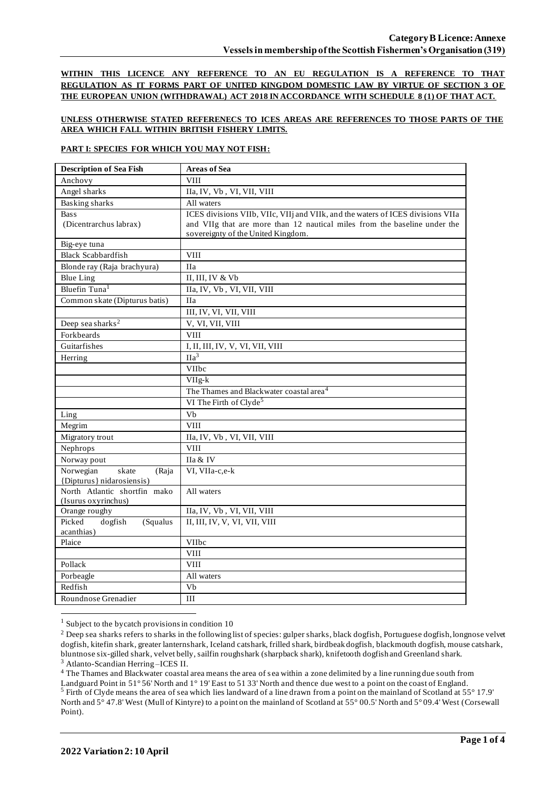**WITHIN THIS LICENCE ANY REFERENCE TO AN EU REGULATION IS A REFERENCE TO THAT REGULATION AS IT FORMS PART OF UNITED KINGDOM DOMESTIC LAW BY VIRTUE OF SECTION 3 OF THE EUROPEAN UNION (WITHDRAWAL) ACT 2018 IN ACCORDANCE WITH SCHEDULE 8 (1) OF THAT ACT.**

### **UNLESS OTHERWISE STATED REFERENECS TO ICES AREAS ARE REFERENCES TO THOSE PARTS OF THE AREA WHICH FALL WITHIN BRITISH FISHERY LIMITS.**

#### **PART I: SPECIES FOR WHICH YOU MAY NOT FISH:**

| <b>Description of Sea Fish</b>    | <b>Areas of Sea</b>                                                             |
|-----------------------------------|---------------------------------------------------------------------------------|
| Anchovy                           | <b>VIII</b>                                                                     |
| Angel sharks                      | IIa, IV, Vb, VI, VII, VIII                                                      |
| <b>Basking</b> sharks             | All waters                                                                      |
| <b>Bass</b>                       | ICES divisions VIIb, VIIc, VIIj and VIIk, and the waters of ICES divisions VIIa |
| (Dicentrarchus labrax)            | and VIIg that are more than 12 nautical miles from the baseline under the       |
|                                   | sovereignty of the United Kingdom.                                              |
| Big-eye tuna                      |                                                                                 |
| <b>Black Scabbardfish</b>         | <b>VIII</b>                                                                     |
| Blonde ray (Raja brachyura)       | <b>IIa</b>                                                                      |
| <b>Blue Ling</b>                  | II, III, IV & Vb                                                                |
| Bluefin Tuna <sup>1</sup>         | IIa, IV, Vb, VI, VII, VIII                                                      |
| Common skate (Dipturus batis)     | <b>IIa</b>                                                                      |
|                                   | III, IV, VI, VII, VIII                                                          |
| Deep sea sharks <sup>2</sup>      | V, VI, VII, VIII                                                                |
| Forkbeards                        | <b>VIII</b>                                                                     |
| Guitarfishes                      | I, II, III, IV, V, VI, VII, VIII                                                |
| Herring                           | $\overline{Ha^3}$                                                               |
|                                   | VIIbc                                                                           |
|                                   | $VIIg-k$                                                                        |
|                                   | The Thames and Blackwater coastal area <sup>4</sup>                             |
|                                   | VI The Firth of Clyde <sup>5</sup>                                              |
| Ling                              | Vb                                                                              |
| Megrim                            | <b>VIII</b>                                                                     |
| Migratory trout                   | IIa, IV, Vb, VI, VII, VIII                                                      |
| Nephrops                          | <b>VIII</b>                                                                     |
| Norway pout                       | IIa & IV                                                                        |
| Norwegian<br>skate<br>(Raja       | VI, VIIa-c,e-k                                                                  |
| {Dipturus} nidarosiensis}         |                                                                                 |
| North Atlantic shortfin mako      | All waters                                                                      |
| (Isurus oxyrinchus)               |                                                                                 |
| Orange roughy<br>Picked           | IIa, IV, Vb, VI, VII, VIII                                                      |
| dogfish<br>(Squalus<br>acanthias) | II, III, IV, V, VI, VII, VIII                                                   |
| Plaice                            | VIIbc                                                                           |
|                                   | <b>VIII</b>                                                                     |
| Pollack                           | <b>VIII</b>                                                                     |
| Porbeagle                         | All waters                                                                      |
| Redfish                           | Vb                                                                              |
| Roundnose Grenadier               | III                                                                             |
|                                   |                                                                                 |

 $1$  Subject to the bycatch provisions in condition 10

<sup>3</sup> Atlanto-Scandian Herring –ICES II.

<sup>4</sup> The Thames and Blackwater coastal area means the area of sea within a zone delimited by a line running due south from Landguard Point in 51° 56' North and 1° 19' East to 51 33' North and thence due west to a point on the coast of England. <sup>5</sup> Firth of Clyde means the area of sea which lies landward of a line drawn from a point on the mainland of Scotland at 55° 17.9' North and 5° 47.8' West (Mull of Kintyre) to a point on the mainland of Scotland at 55° 00.5' North and 5° 09.4' West (Corsewall Point).

<sup>&</sup>lt;sup>2</sup> Deep sea sharks refers to sharks in the following list of species: gulper sharks, black dogfish, Portuguese dogfish, longnose velvet dogfish, kitefin shark, greater lanternshark, Iceland catshark, frilled shark, birdbeak dogfish, blackmouth dogfish, mouse catshark, bluntnose six-gilled shark, velvet belly, sailfin roughshark (sharpback shark), knifetooth dogfish and Greenland shark.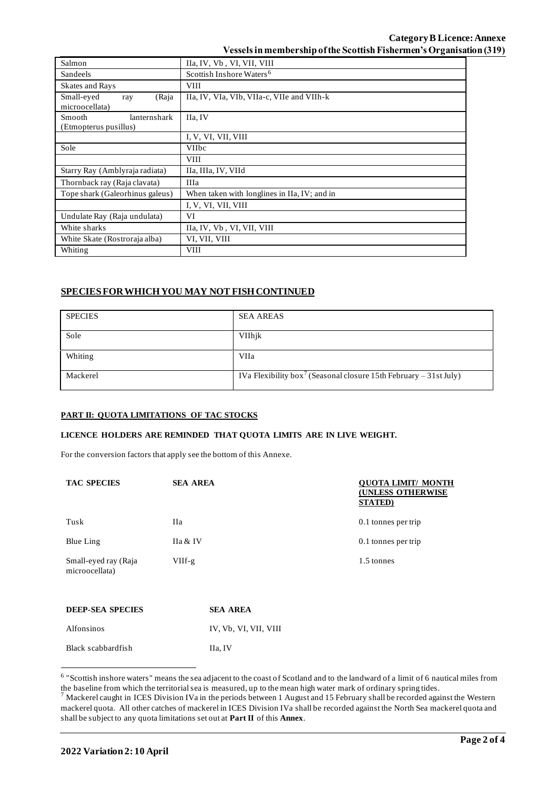| Salmon                                          | IIa, IV, Vb, VI, VII, VIII                   |  |
|-------------------------------------------------|----------------------------------------------|--|
| Sandeels                                        | Scottish Inshore Waters <sup>6</sup>         |  |
| <b>Skates and Rays</b>                          | <b>VIII</b>                                  |  |
| Small-eyed<br>(Raja<br>ray<br>microocellata)    | IIa, IV, VIa, VIb, VIIa-c, VIIe and VIIh-k   |  |
| Smooth<br>lanternshark<br>(Etmopterus pusillus) | IIa, IV                                      |  |
|                                                 | I, V, VI, VII, VIII                          |  |
| Sole                                            | <b>VIIbc</b>                                 |  |
|                                                 | <b>VIII</b>                                  |  |
| Starry Ray (Amblyraja radiata)                  | IIa, IIIa, IV, VIId                          |  |
| Thornback ray (Raja clavata)                    | <b>IIIa</b>                                  |  |
| Tope shark (Galeorhinus galeus)                 | When taken with longlines in IIa, IV; and in |  |
|                                                 | I, V, VI, VII, VIII                          |  |
| Undulate Ray (Raja undulata)                    | VI                                           |  |
| White sharks                                    | IIa, IV, Vb, VI, VII, VIII                   |  |
| White Skate (Rostroraja alba)                   | VI, VII, VIII                                |  |
| Whiting                                         | <b>VIII</b>                                  |  |

# **SPECIES FOR WHICH YOU MAY NOT FISH CONTINUED**

| <b>SPECIES</b> | <b>SEA AREAS</b>                                                              |
|----------------|-------------------------------------------------------------------------------|
| Sole           | VIIhjk                                                                        |
| Whiting        | VIIa                                                                          |
| Mackerel       | IVa Flexibility box <sup>7</sup> (Seasonal closure 15th February – 31st July) |

### **PART II: QUOTA LIMITATIONS OF TAC STOCKS**

## **LICENCE HOLDERS ARE REMINDED THAT QUOTA LIMITS ARE IN LIVE WEIGHT.**

For the conversion factors that apply see the bottom of this Annexe.

| <b>TAC SPECIES</b>                     | <b>SEA AREA</b> |                       | <b>OUOTA LIMIT/ MONTH</b><br><b>(UNLESS OTHERWISE</b><br><b>STATED</b> ) |  |
|----------------------------------------|-----------------|-----------------------|--------------------------------------------------------------------------|--|
| Tusk                                   | Ha              |                       | 0.1 tonnes per trip                                                      |  |
| Blue Ling                              | IIa & IV        |                       | 0.1 tonnes per trip                                                      |  |
| Small-eyed ray (Raja<br>microocellata) | $VIIf-g$        |                       | 1.5 tonnes                                                               |  |
| <b>DEEP-SEA SPECIES</b>                |                 | <b>SEA AREA</b>       |                                                                          |  |
| Alfonsinos                             |                 | IV, Vb, VI, VII, VIII |                                                                          |  |

| Black scabbardfish | IIa, IV |
|--------------------|---------|
|                    |         |

<sup>&</sup>lt;sup>6</sup> "Scottish inshore waters" means the sea adjacent to the coast of Scotland and to the landward of a limit of 6 nautical miles from the baseline from which the territorial sea is measured, up to the mean high water mark of ordinary spring tides.

 $^7$  Mackerel caught in ICES Division IVa in the periods between 1 August and 15 February shall be recorded against the Western mackerel quota. All other catches of mackerel in ICES Division IVa shall be recorded against the North Sea mackerel quota and shall be subject to any quota limitations set out at **Part II** of this **Annex**.